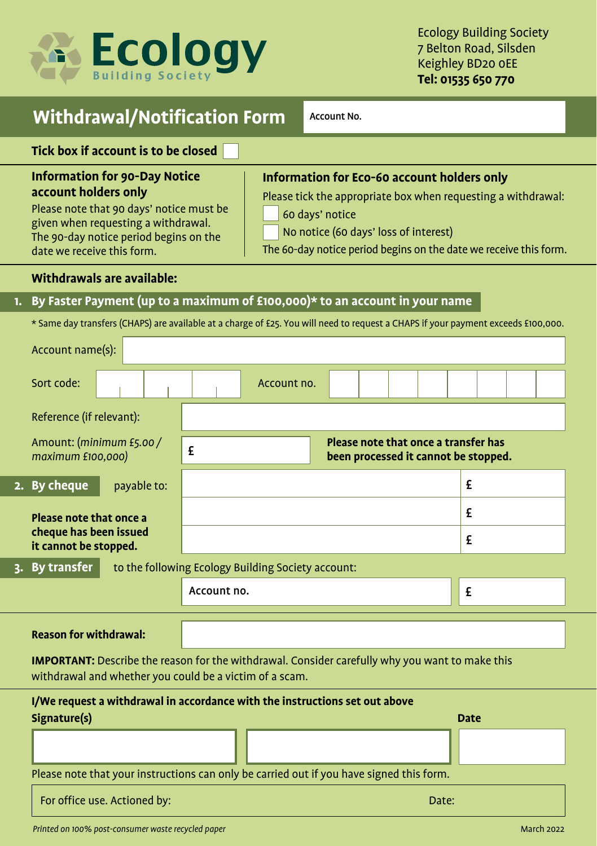

# **Withdrawal/Notification Form** Account No.

**Tick box if account is to be closed**

## **Information for 90-Day Notice account holders only**

Please note that 90 days' notice must be given when requesting a withdrawal. The 90-day notice period begins on the date we receive this form.

# **Information for Eco-60 account holders only**

Please tick the appropriate box when requesting a withdrawal:

60 days' notice

No notice (60 days' loss of interest)

The 60-day notice period begins on the date we receive this form.

#### **Withdrawals are available:**

## **1. By Faster Payment (up to a maximum of £100,000)\* to an account in your name**

\* Same day transfers (CHAPS) are available at a charge of £25. You will need to request a CHAPS if your payment exceeds £100,000.

|                                                                                                            | Account name(s):                                                                                                                                                  |                                                                                          |  |
|------------------------------------------------------------------------------------------------------------|-------------------------------------------------------------------------------------------------------------------------------------------------------------------|------------------------------------------------------------------------------------------|--|
|                                                                                                            | Sort code:                                                                                                                                                        | Account no.                                                                              |  |
|                                                                                                            | Reference (if relevant):                                                                                                                                          |                                                                                          |  |
|                                                                                                            | Amount: (minimum £5.00/<br>maximum £100,000)                                                                                                                      | Please note that once a transfer has<br>£<br>been processed it cannot be stopped.        |  |
|                                                                                                            | 2. By cheque<br>payable to:                                                                                                                                       | £                                                                                        |  |
|                                                                                                            | Please note that once a                                                                                                                                           | £                                                                                        |  |
|                                                                                                            | cheque has been issued<br>it cannot be stopped.                                                                                                                   | £                                                                                        |  |
| 3. By transfer<br>to the following Ecology Building Society account:                                       |                                                                                                                                                                   |                                                                                          |  |
|                                                                                                            |                                                                                                                                                                   | Account no.<br>£                                                                         |  |
|                                                                                                            | <b>Reason for withdrawal:</b>                                                                                                                                     |                                                                                          |  |
|                                                                                                            | <b>IMPORTANT:</b> Describe the reason for the withdrawal. Consider carefully why you want to make this<br>withdrawal and whether you could be a victim of a scam. |                                                                                          |  |
| I/We request a withdrawal in accordance with the instructions set out above<br>Signature(s)<br><b>Date</b> |                                                                                                                                                                   |                                                                                          |  |
|                                                                                                            |                                                                                                                                                                   |                                                                                          |  |
|                                                                                                            |                                                                                                                                                                   |                                                                                          |  |
|                                                                                                            |                                                                                                                                                                   | Please note that your instructions can only be carried out if you have signed this form. |  |